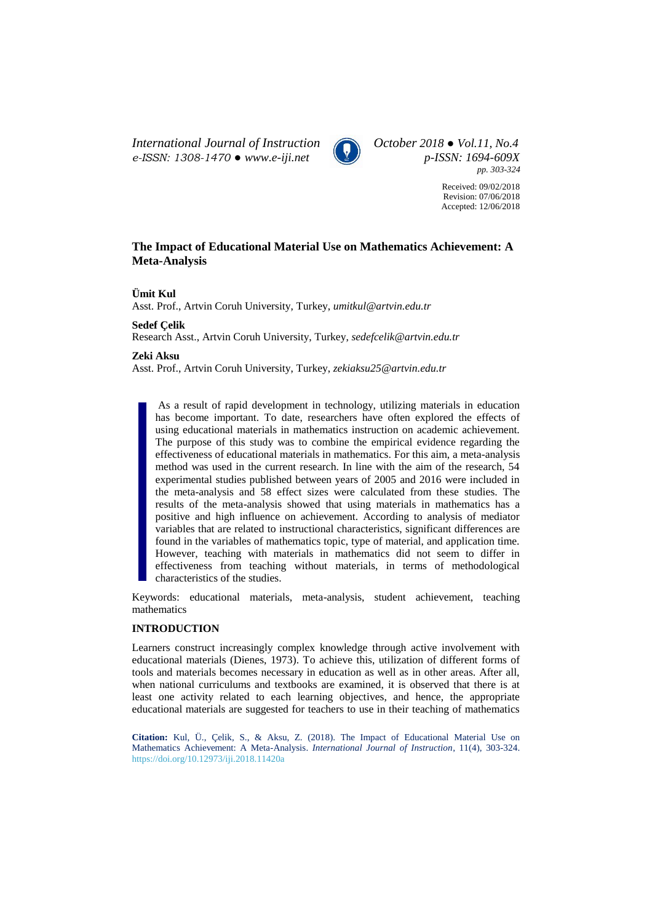*International Journal of Instruction October 2018 ● Vol.11, No.4 e-ISSN: 1308-1470 ● [www.e-iji.net](http://www.e-iji.net/) p-ISSN: 1694-609X*



*pp. 303-324*

Received: 09/02/2018 Revision: 07/06/2018 Accepted: 12/06/2018

# **The Impact of Educational Material Use on Mathematics Achievement: A Meta-Analysis**

**Ümit Kul**

Asst. Prof., Artvin Coruh University, Turkey, *umitkul@artvin.edu.tr*

**Sedef Çelik**

Research Asst., Artvin Coruh University, Turkey, *sedefcelik@artvin.edu.tr*

### **Zeki Aksu**

Asst. Prof., Artvin Coruh University, Turkey, *zekiaksu25@artvin.edu.tr*

As a result of rapid development in technology, utilizing materials in education has become important. To date, researchers have often explored the effects of using educational materials in mathematics instruction on academic achievement. The purpose of this study was to combine the empirical evidence regarding the effectiveness of educational materials in mathematics. For this aim, a meta-analysis method was used in the current research. In line with the aim of the research, 54 experimental studies published between years of 2005 and 2016 were included in the meta-analysis and 58 effect sizes were calculated from these studies. The results of the meta-analysis showed that using materials in mathematics has a positive and high influence on achievement. According to analysis of mediator variables that are related to instructional characteristics, significant differences are found in the variables of mathematics topic, type of material, and application time. However, teaching with materials in mathematics did not seem to differ in effectiveness from teaching without materials, in terms of methodological characteristics of the studies.

Keywords: educational materials, meta-analysis, student achievement, teaching mathematics

## **INTRODUCTION**

Learners construct increasingly complex knowledge through active involvement with educational materials (Dienes, 1973). To achieve this, utilization of different forms of tools and materials becomes necessary in education as well as in other areas. After all, when national curriculums and textbooks are examined, it is observed that there is at least one activity related to each learning objectives, and hence, the appropriate educational materials are suggested for teachers to use in their teaching of mathematics

**Citation:** Kul, Ü., Çelik, S., & Aksu, Z. (2018). The Impact of Educational Material Use on Mathematics Achievement: A Meta-Analysis. *International Journal of Instruction*, 11(4), 303-324. <https://doi.org/10.12973/iji.2018.11420a>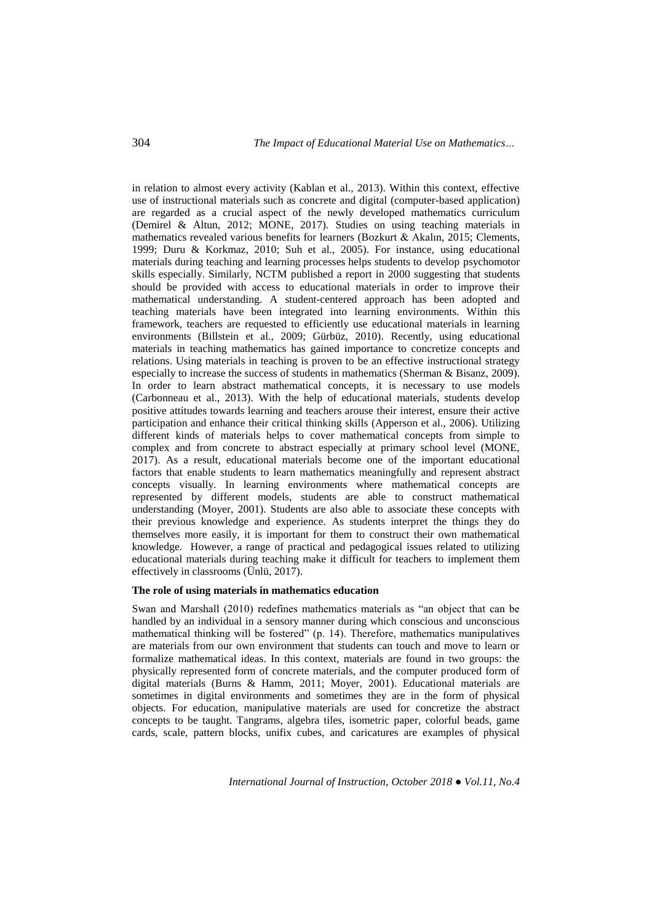in relation to almost every activity (Kablan et al., 2013). Within this context, effective use of instructional materials such as concrete and digital (computer-based application) are regarded as a crucial aspect of the newly developed mathematics curriculum (Demirel & Altun, 2012; MONE, 2017). Studies on using teaching materials in mathematics revealed various benefits for learners (Bozkurt & Akalın, 2015; Clements, 1999; Duru & Korkmaz, 2010; Suh et al., 2005). For instance, using educational materials during teaching and learning processes helps students to develop psychomotor skills especially. Similarly, NCTM published a report in 2000 suggesting that students should be provided with access to educational materials in order to improve their mathematical understanding. A student-centered approach has been adopted and teaching materials have been integrated into learning environments. Within this framework, teachers are requested to efficiently use educational materials in learning environments (Billstein et al., 2009; Gürbüz, 2010). Recently, using educational materials in teaching mathematics has gained importance to concretize concepts and relations. Using materials in teaching is proven to be an effective instructional strategy especially to increase the success of students in mathematics (Sherman & Bisanz, 2009). In order to learn abstract mathematical concepts, it is necessary to use models (Carbonneau et al., 2013). With the help of educational materials, students develop positive attitudes towards learning and teachers arouse their interest, ensure their active participation and enhance their critical thinking skills (Apperson et al., 2006). Utilizing different kinds of materials helps to cover mathematical concepts from simple to complex and from concrete to abstract especially at primary school level (MONE, 2017). As a result, educational materials become one of the important educational factors that enable students to learn mathematics meaningfully and represent abstract concepts visually. In learning environments where mathematical concepts are represented by different models, students are able to construct mathematical understanding (Moyer, 2001). Students are also able to associate these concepts with their previous knowledge and experience. As students interpret the things they do themselves more easily, it is important for them to construct their own mathematical knowledge. However, a range of practical and pedagogical issues related to utilizing educational materials during teaching make it difficult for teachers to implement them effectively in classrooms (Ünlü, 2017).

### **The role of using materials in mathematics education**

Swan and Marshall (2010) redefines mathematics materials as "an object that can be handled by an individual in a sensory manner during which conscious and unconscious mathematical thinking will be fostered" (p. 14). Therefore, mathematics manipulatives are materials from our own environment that students can touch and move to learn or formalize mathematical ideas. In this context, materials are found in two groups: the physically represented form of concrete materials, and the computer produced form of digital materials (Burns & Hamm, 2011; Moyer, 2001). Educational materials are sometimes in digital environments and sometimes they are in the form of physical objects. For education, manipulative materials are used for concretize the abstract concepts to be taught. Tangrams, algebra tiles, isometric paper, colorful beads, game cards, scale, pattern blocks, unifix cubes, and caricatures are examples of physical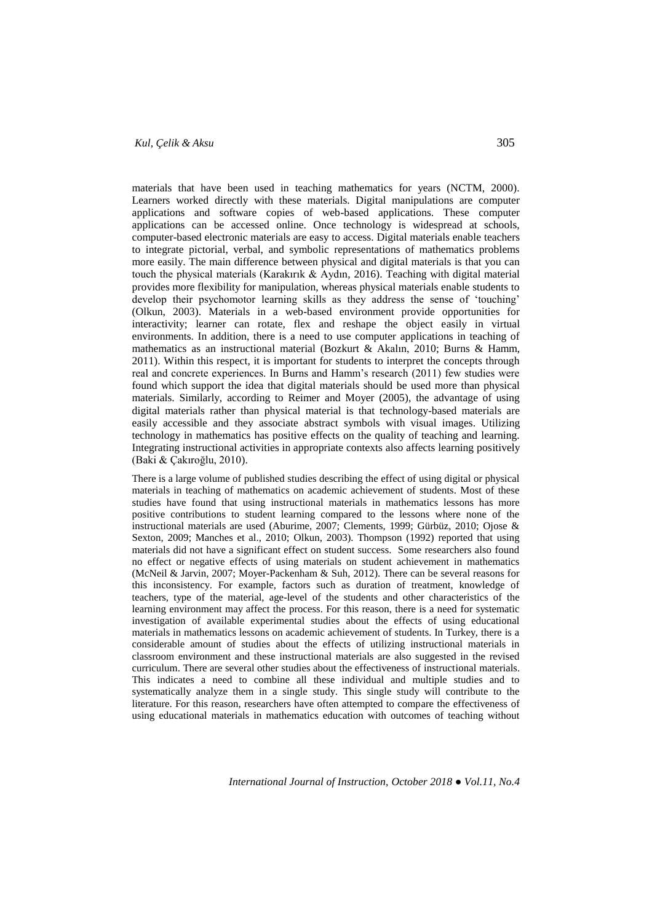## *Kul, Çelik & Aksu* 305

materials that have been used in teaching mathematics for years (NCTM, 2000). Learners worked directly with these materials. Digital manipulations are computer applications and software copies of web-based applications. These computer applications can be accessed online. Once technology is widespread at schools, computer-based electronic materials are easy to access. Digital materials enable teachers to integrate pictorial, verbal, and symbolic representations of mathematics problems more easily. The main difference between physical and digital materials is that you can touch the physical materials (Karakırık & Aydın, 2016). Teaching with digital material provides more flexibility for manipulation, whereas physical materials enable students to develop their psychomotor learning skills as they address the sense of 'touching' (Olkun, 2003). Materials in a web-based environment provide opportunities for interactivity; learner can rotate, flex and reshape the object easily in virtual environments. In addition, there is a need to use computer applications in teaching of mathematics as an instructional material (Bozkurt & Akalın, 2010; Burns & Hamm, 2011). Within this respect, it is important for students to interpret the concepts through real and concrete experiences. In Burns and Hamm's research (2011) few studies were found which support the idea that digital materials should be used more than physical materials. Similarly, according to Reimer and Moyer (2005), the advantage of using digital materials rather than physical material is that technology-based materials are easily accessible and they associate abstract symbols with visual images. Utilizing technology in mathematics has positive effects on the quality of teaching and learning. Integrating instructional activities in appropriate contexts also affects learning positively (Baki & Çakıroğlu, 2010).

There is a large volume of published studies describing the effect of using digital or physical materials in teaching of mathematics on academic achievement of students. Most of these studies have found that using instructional materials in mathematics lessons has more positive contributions to student learning compared to the lessons where none of the instructional materials are used (Aburime, 2007; Clements, 1999; Gürbüz, 2010; Ojose & Sexton, 2009; Manches et al., 2010; Olkun, 2003). Thompson (1992) reported that using materials did not have a significant effect on student success. Some researchers also found no effect or negative effects of using materials on student achievement in mathematics (McNeil & Jarvin, 2007; Moyer-Packenham & Suh, 2012). There can be several reasons for this inconsistency. For example, factors such as duration of treatment, knowledge of teachers, type of the material, age-level of the students and other characteristics of the learning environment may affect the process. For this reason, there is a need for systematic investigation of available experimental studies about the effects of using educational materials in mathematics lessons on academic achievement of students. In Turkey, there is a considerable amount of studies about the effects of utilizing instructional materials in classroom environment and these instructional materials are also suggested in the revised curriculum. There are several other studies about the effectiveness of instructional materials. This indicates a need to combine all these individual and multiple studies and to systematically analyze them in a single study. This single study will contribute to the literature. For this reason, researchers have often attempted to compare the effectiveness of using educational materials in mathematics education with outcomes of teaching without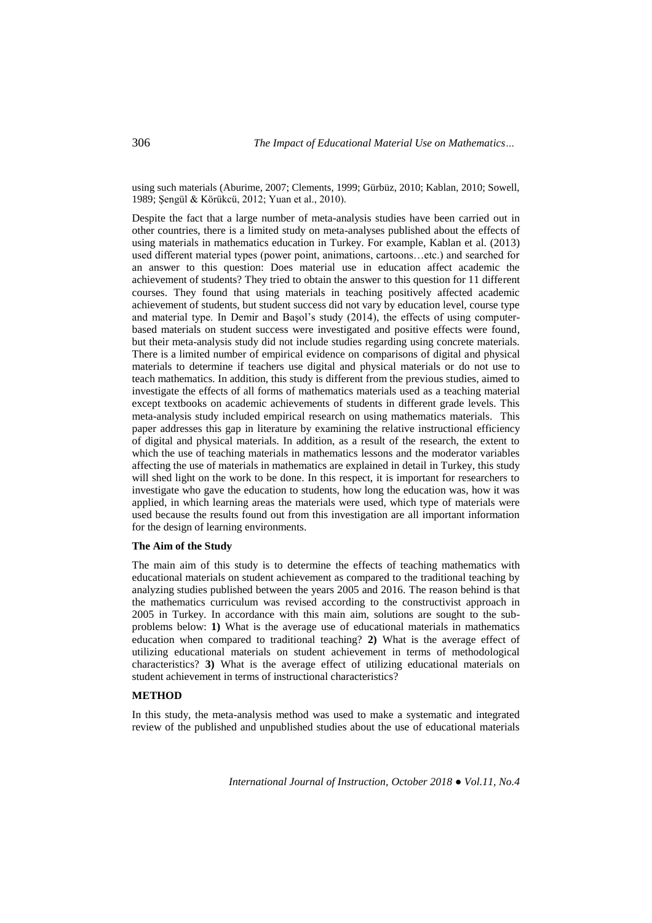using such materials (Aburime, 2007; Clements, 1999; Gürbüz, 2010; Kablan, 2010; Sowell, 1989; Şengül & Körükcü, 2012; Yuan et al., 2010).

Despite the fact that a large number of meta-analysis studies have been carried out in other countries, there is a limited study on meta-analyses published about the effects of using materials in mathematics education in Turkey. For example, Kablan et al. (2013) used different material types (power point, animations, cartoons…etc.) and searched for an answer to this question: Does material use in education affect academic the achievement of students? They tried to obtain the answer to this question for 11 different courses. They found that using materials in teaching positively affected academic achievement of students, but student success did not vary by education level, course type and material type. In Demir and Başol's study (2014), the effects of using computerbased materials on student success were investigated and positive effects were found, but their meta-analysis study did not include studies regarding using concrete materials. There is a limited number of empirical evidence on comparisons of digital and physical materials to determine if teachers use digital and physical materials or do not use to teach mathematics. In addition, this study is different from the previous studies, aimed to investigate the effects of all forms of mathematics materials used as a teaching material except textbooks on academic achievements of students in different grade levels. This meta-analysis study included empirical research on using mathematics materials. This paper addresses this gap in literature by examining the relative instructional efficiency of digital and physical materials. In addition, as a result of the research, the extent to which the use of teaching materials in mathematics lessons and the moderator variables affecting the use of materials in mathematics are explained in detail in Turkey, this study will shed light on the work to be done. In this respect, it is important for researchers to investigate who gave the education to students, how long the education was, how it was applied, in which learning areas the materials were used, which type of materials were used because the results found out from this investigation are all important information for the design of learning environments.

#### **The Aim of the Study**

The main aim of this study is to determine the effects of teaching mathematics with educational materials on student achievement as compared to the traditional teaching by analyzing studies published between the years 2005 and 2016. The reason behind is that the mathematics curriculum was revised according to the constructivist approach in 2005 in Turkey. In accordance with this main aim, solutions are sought to the subproblems below: **1)** What is the average use of educational materials in mathematics education when compared to traditional teaching? **2)** What is the average effect of utilizing educational materials on student achievement in terms of methodological characteristics? **3)** What is the average effect of utilizing educational materials on student achievement in terms of instructional characteristics?

## **METHOD**

In this study, the meta-analysis method was used to make a systematic and integrated review of the published and unpublished studies about the use of educational materials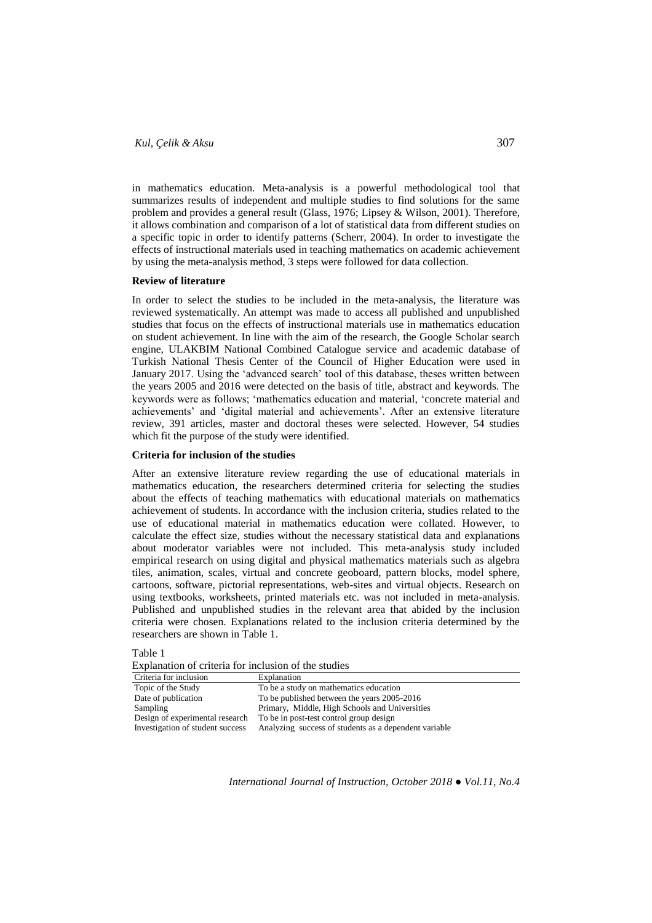in mathematics education. Meta-analysis is a powerful methodological tool that summarizes results of independent and multiple studies to find solutions for the same problem and provides a general result (Glass, 1976; Lipsey & Wilson, 2001). Therefore, it allows combination and comparison of a lot of statistical data from different studies on a specific topic in order to identify patterns (Scherr, 2004). In order to investigate the effects of instructional materials used in teaching mathematics on academic achievement by using the meta-analysis method, 3 steps were followed for data collection.

### **Review of literature**

In order to select the studies to be included in the meta-analysis, the literature was reviewed systematically. An attempt was made to access all published and unpublished studies that focus on the effects of instructional materials use in mathematics education on student achievement. In line with the aim of the research, the Google Scholar search engine, ULAKBIM National Combined Catalogue service and academic database of Turkish National Thesis Center of the Council of Higher Education were used in January 2017. Using the 'advanced search' tool of this database, theses written between the years 2005 and 2016 were detected on the basis of title, abstract and keywords. The keywords were as follows; 'mathematics education and material, 'concrete material and achievements' and 'digital material and achievements'. After an extensive literature review, 391 articles, master and doctoral theses were selected. However, 54 studies which fit the purpose of the study were identified.

### **Criteria for inclusion of the studies**

After an extensive literature review regarding the use of educational materials in mathematics education, the researchers determined criteria for selecting the studies about the effects of teaching mathematics with educational materials on mathematics achievement of students. In accordance with the inclusion criteria, studies related to the use of educational material in mathematics education were collated. However, to calculate the effect size, studies without the necessary statistical data and explanations about moderator variables were not included. This meta-analysis study included empirical research on using digital and physical mathematics materials such as algebra tiles, animation, scales, virtual and concrete geoboard, pattern blocks, model sphere, cartoons, software, pictorial representations, web-sites and virtual objects. Research on using textbooks, worksheets, printed materials etc. was not included in meta-analysis. Published and unpublished studies in the relevant area that abided by the inclusion criteria were chosen. Explanations related to the inclusion criteria determined by the researchers are shown in Table 1.

Table 1

Explanation of criteria for inclusion of the studies

| Criteria for inclusion           | Explanation                                           |
|----------------------------------|-------------------------------------------------------|
| Topic of the Study               | To be a study on mathematics education                |
| Date of publication              | To be published between the years 2005-2016           |
| Sampling                         | Primary, Middle, High Schools and Universities        |
| Design of experimental research  | To be in post-test control group design               |
| Investigation of student success | Analyzing success of students as a dependent variable |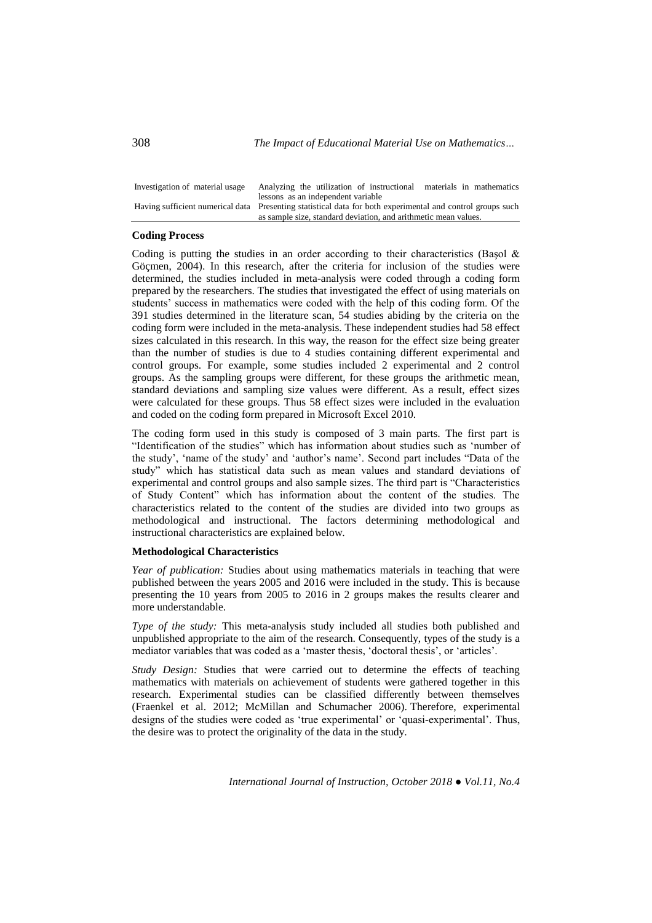| Investigation of material usage | Analyzing the utilization of instructional materials in mathematics                                        |
|---------------------------------|------------------------------------------------------------------------------------------------------------|
|                                 | lessons as an independent variable                                                                         |
|                                 | Having sufficient numerical data Presenting statistical data for both experimental and control groups such |
|                                 | as sample size, standard deviation, and arithmetic mean values.                                            |

## **Coding Process**

Coding is putting the studies in an order according to their characteristics (Basol  $\&$ Göçmen, 2004). In this research, after the criteria for inclusion of the studies were determined, the studies included in meta-analysis were coded through a coding form prepared by the researchers. The studies that investigated the effect of using materials on students' success in mathematics were coded with the help of this coding form. Of the 391 studies determined in the literature scan, 54 studies abiding by the criteria on the coding form were included in the meta-analysis. These independent studies had 58 effect sizes calculated in this research. In this way, the reason for the effect size being greater than the number of studies is due to 4 studies containing different experimental and control groups. For example, some studies included 2 experimental and 2 control groups. As the sampling groups were different, for these groups the arithmetic mean, standard deviations and sampling size values were different. As a result, effect sizes were calculated for these groups. Thus 58 effect sizes were included in the evaluation and coded on the coding form prepared in Microsoft Excel 2010.

The coding form used in this study is composed of 3 main parts. The first part is "Identification of the studies" which has information about studies such as 'number of the study', 'name of the study' and 'author's name'. Second part includes "Data of the study" which has statistical data such as mean values and standard deviations of experimental and control groups and also sample sizes. The third part is "Characteristics of Study Content" which has information about the content of the studies. The characteristics related to the content of the studies are divided into two groups as methodological and instructional. The factors determining methodological and instructional characteristics are explained below.

## **Methodological Characteristics**

*Year of publication:* Studies about using mathematics materials in teaching that were published between the years 2005 and 2016 were included in the study. This is because presenting the 10 years from 2005 to 2016 in 2 groups makes the results clearer and more understandable.

*Type of the study:* This meta-analysis study included all studies both published and unpublished appropriate to the aim of the research. Consequently, types of the study is a mediator variables that was coded as a 'master thesis, 'doctoral thesis', or 'articles'.

*Study Design:* Studies that were carried out to determine the effects of teaching mathematics with materials on achievement of students were gathered together in this research. Experimental studies can be classified differently between themselves (Fraenkel et al. 2012; McMillan and Schumacher 2006). Therefore, experimental designs of the studies were coded as 'true experimental' or 'quasi-experimental'. Thus, the desire was to protect the originality of the data in the study.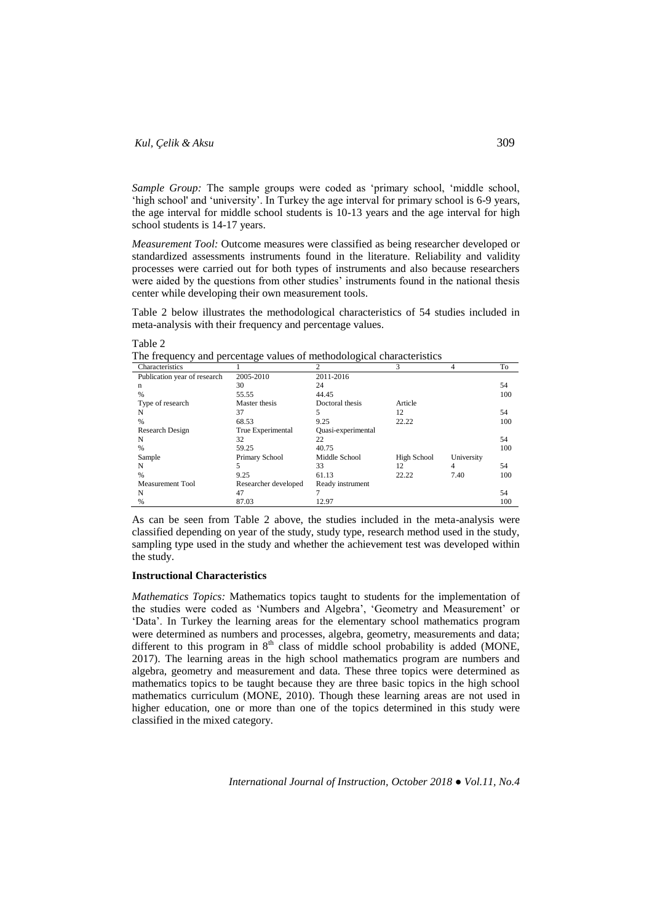*Sample Group:* The sample groups were coded as 'primary school, 'middle school, 'high school' and 'university'. In Turkey the age interval for primary school is 6-9 years, the age interval for middle school students is 10-13 years and the age interval for high school students is 14-17 years.

*Measurement Tool:* Outcome measures were classified as being researcher developed or standardized assessments instruments found in the literature. Reliability and validity processes were carried out for both types of instruments and also because researchers were aided by the questions from other studies' instruments found in the national thesis center while developing their own measurement tools.

Table 2 below illustrates the methodological characteristics of 54 studies included in meta-analysis with their frequency and percentage values.

| The frequency and percentage values of methodological characteristics |                      |                    |             |            |     |
|-----------------------------------------------------------------------|----------------------|--------------------|-------------|------------|-----|
| Characteristics                                                       |                      |                    | 3           | 4          | To  |
| Publication year of research                                          | 2005-2010            | 2011-2016          |             |            |     |
| n                                                                     | 30                   | 24                 |             |            | 54  |
| $\frac{0}{0}$                                                         | 55.55                | 44.45              |             |            | 100 |
| Type of research                                                      | Master thesis        | Doctoral thesis    | Article     |            |     |
| N                                                                     | 37                   | 5                  | 12          |            | 54  |
| $\frac{9}{6}$                                                         | 68.53                | 9.25               | 22.22       |            | 100 |
| <b>Research Design</b>                                                | True Experimental    | Quasi-experimental |             |            |     |
| N                                                                     | 32                   | 22                 |             |            | 54  |
| $\frac{9}{6}$                                                         | 59.25                | 40.75              |             |            | 100 |
| Sample                                                                | Primary School       | Middle School      | High School | University |     |
| N                                                                     | 5                    | 33                 | 12          | 4          | 54  |
| $\frac{0}{0}$                                                         | 9.25                 | 61.13              | 22.22       | 7.40       | 100 |
| Measurement Tool                                                      | Researcher developed | Ready instrument   |             |            |     |
| N                                                                     | 47                   |                    |             |            | 54  |
| $\frac{9}{6}$                                                         | 87.03                | 12.97              |             |            | 100 |

Table 2<br>The free

As can be seen from Table 2 above, the studies included in the meta-analysis were classified depending on year of the study, study type, research method used in the study, sampling type used in the study and whether the achievement test was developed within the study.

### **Instructional Characteristics**

*Mathematics Topics:* Mathematics topics taught to students for the implementation of the studies were coded as 'Numbers and Algebra', 'Geometry and Measurement' or 'Data'. In Turkey the learning areas for the elementary school mathematics program were determined as numbers and processes, algebra, geometry, measurements and data; different to this program in  $8<sup>th</sup>$  class of middle school probability is added (MONE, 2017). The learning areas in the high school mathematics program are numbers and algebra, geometry and measurement and data. These three topics were determined as mathematics topics to be taught because they are three basic topics in the high school mathematics curriculum (MONE, 2010). Though these learning areas are not used in higher education, one or more than one of the topics determined in this study were classified in the mixed category.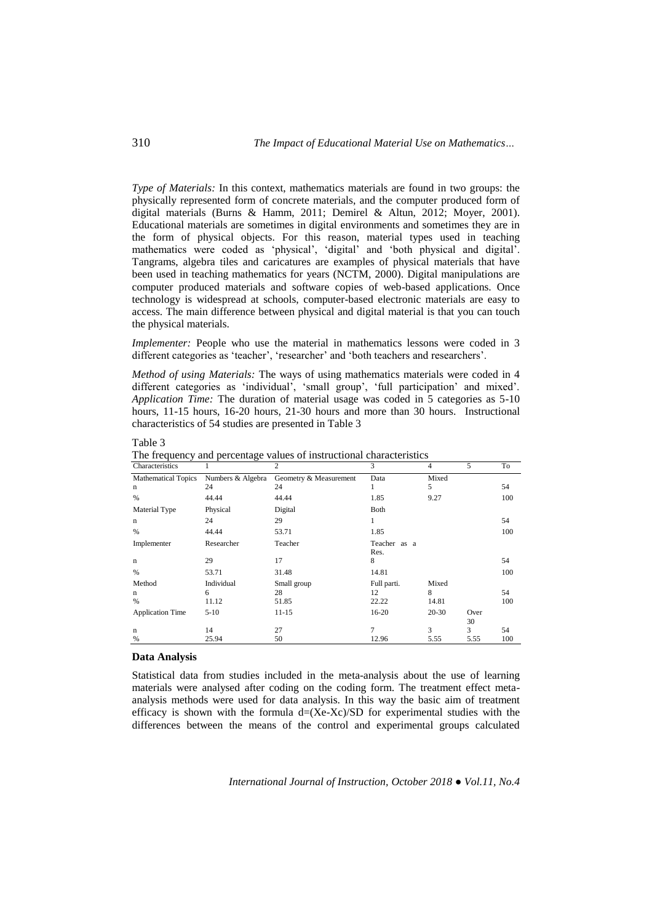*Type of Materials:* In this context, mathematics materials are found in two groups: the physically represented form of concrete materials, and the computer produced form of digital materials (Burns & Hamm, 2011; Demirel & Altun, 2012; Moyer, 2001). Educational materials are sometimes in digital environments and sometimes they are in the form of physical objects. For this reason, material types used in teaching mathematics were coded as 'physical', 'digital' and 'both physical and digital'. Tangrams, algebra tiles and caricatures are examples of physical materials that have been used in teaching mathematics for years (NCTM, 2000). Digital manipulations are computer produced materials and software copies of web-based applications. Once technology is widespread at schools, computer-based electronic materials are easy to access. The main difference between physical and digital material is that you can touch the physical materials.

*Implementer:* People who use the material in mathematics lessons were coded in 3 different categories as 'teacher', 'researcher' and 'both teachers and researchers'.

*Method of using Materials:* The ways of using mathematics materials were coded in 4 different categories as 'individual', 'small group', 'full participation' and mixed'. *Application Time:* The duration of material usage was coded in 5 categories as 5-10 hours, 11-15 hours, 16-20 hours, 21-30 hours and more than 30 hours. Instructional characteristics of 54 studies are presented in Table 3

Table 3

| The frequency and percentage values of instructional characteristics |                   |                        |                      |           |            |     |  |  |  |
|----------------------------------------------------------------------|-------------------|------------------------|----------------------|-----------|------------|-----|--|--|--|
| Characteristics                                                      |                   | 2                      | 3                    | 4         | 5          | To  |  |  |  |
| <b>Mathematical Topics</b>                                           | Numbers & Algebra | Geometry & Measurement | Data                 | Mixed     |            |     |  |  |  |
| n                                                                    | 24                | 24                     | 1                    | 5         |            | 54  |  |  |  |
| %                                                                    | 44.44             | 44.44                  | 1.85                 | 9.27      |            | 100 |  |  |  |
| Material Type                                                        | Physical          | Digital                | Both                 |           |            |     |  |  |  |
| n                                                                    | 24                | 29                     | 1                    |           |            | 54  |  |  |  |
| $\frac{0}{6}$                                                        | 44.44             | 53.71                  | 1.85                 |           |            | 100 |  |  |  |
| Implementer                                                          | Researcher        | Teacher                | Teacher as a<br>Res. |           |            |     |  |  |  |
| $\mathbf n$                                                          | 29                | 17                     | 8                    |           |            | 54  |  |  |  |
| $\frac{0}{6}$                                                        | 53.71             | 31.48                  | 14.81                |           |            | 100 |  |  |  |
| Method                                                               | Individual        | Small group            | Full parti.          | Mixed     |            |     |  |  |  |
| n                                                                    | 6                 | 28                     | 12                   | 8         |            | 54  |  |  |  |
| $\frac{0}{6}$                                                        | 11.12             | 51.85                  | 22.22                | 14.81     |            | 100 |  |  |  |
| <b>Application Time</b>                                              | $5-10$            | $11 - 15$              | $16-20$              | $20 - 30$ | Over<br>30 |     |  |  |  |
| $\mathbf n$                                                          | 14                | 27                     | 7                    | 3         | 3          | 54  |  |  |  |
| %                                                                    | 25.94             | 50                     | 12.96                | 5.55      | 5.55       | 100 |  |  |  |

The frequency and percentage values of instructional characteristics

### **Data Analysis**

Statistical data from studies included in the meta-analysis about the use of learning materials were analysed after coding on the coding form. The treatment effect metaanalysis methods were used for data analysis. In this way the basic aim of treatment efficacy is shown with the formula  $d=(Xe-Xc)/SD$  for experimental studies with the differences between the means of the control and experimental groups calculated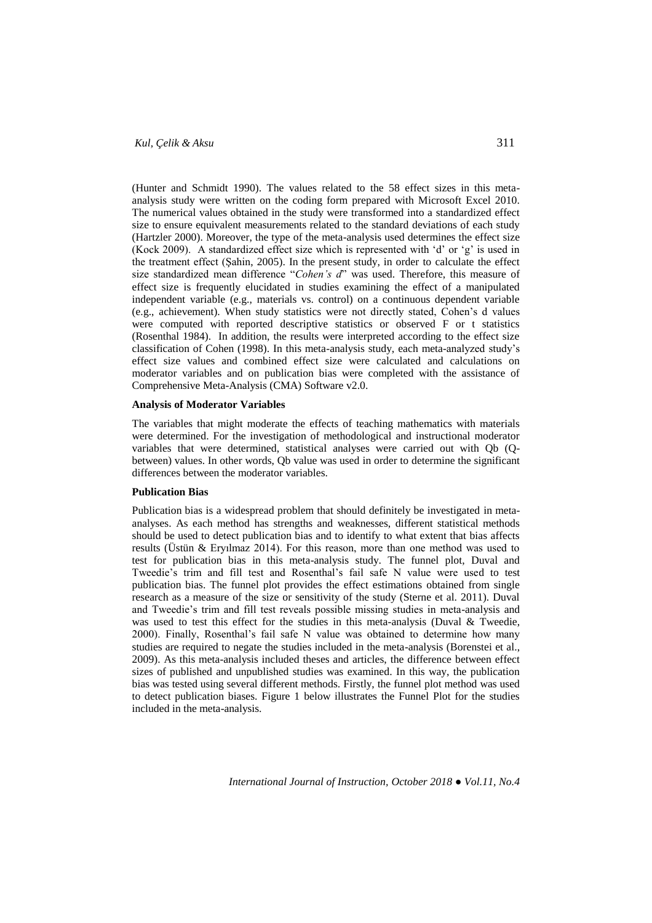## *Kul, Çelik & Aksu* 311

(Hunter and Schmidt 1990). The values related to the 58 effect sizes in this metaanalysis study were written on the coding form prepared with Microsoft Excel 2010. The numerical values obtained in the study were transformed into a standardized effect size to ensure equivalent measurements related to the standard deviations of each study (Hartzler 2000). Moreover, the type of the meta-analysis used determines the effect size (Kock 2009). A standardized effect size which is represented with 'd' or 'g' is used in the treatment effect (Şahin, 2005). In the present study, in order to calculate the effect size standardized mean difference "*Cohen's d*" was used. Therefore, this measure of effect size is frequently elucidated in studies examining the effect of a manipulated independent variable (e.g., materials vs. control) on a continuous dependent variable (e.g., achievement). When study statistics were not directly stated, Cohen's d values were computed with reported descriptive statistics or observed F or t statistics (Rosenthal 1984). In addition, the results were interpreted according to the effect size classification of Cohen (1998). In this meta-analysis study, each meta-analyzed study's effect size values and combined effect size were calculated and calculations on moderator variables and on publication bias were completed with the assistance of Comprehensive Meta-Analysis (CMA) Software v2.0.

### **Analysis of Moderator Variables**

The variables that might moderate the effects of teaching mathematics with materials were determined. For the investigation of methodological and instructional moderator variables that were determined, statistical analyses were carried out with Qb (Qbetween) values. In other words, Qb value was used in order to determine the significant differences between the moderator variables.

### **Publication Bias**

Publication bias is a widespread problem that should definitely be investigated in metaanalyses. As each method has strengths and weaknesses, different statistical methods should be used to detect publication bias and to identify to what extent that bias affects results (Üstün & Eryılmaz 2014). For this reason, more than one method was used to test for publication bias in this meta-analysis study. The funnel plot, Duval and Tweedie's trim and fill test and Rosenthal's fail safe N value were used to test publication bias. The funnel plot provides the effect estimations obtained from single research as a measure of the size or sensitivity of the study (Sterne et al. 2011). Duval and Tweedie's trim and fill test reveals possible missing studies in meta-analysis and was used to test this effect for the studies in this meta-analysis (Duval & Tweedie, 2000). Finally, Rosenthal's fail safe N value was obtained to determine how many studies are required to negate the studies included in the meta-analysis (Borenstei et al., 2009). As this meta-analysis included theses and articles, the difference between effect sizes of published and unpublished studies was examined. In this way, the publication bias was tested using several different methods. Firstly, the funnel plot method was used to detect publication biases. Figure 1 below illustrates the Funnel Plot for the studies included in the meta-analysis.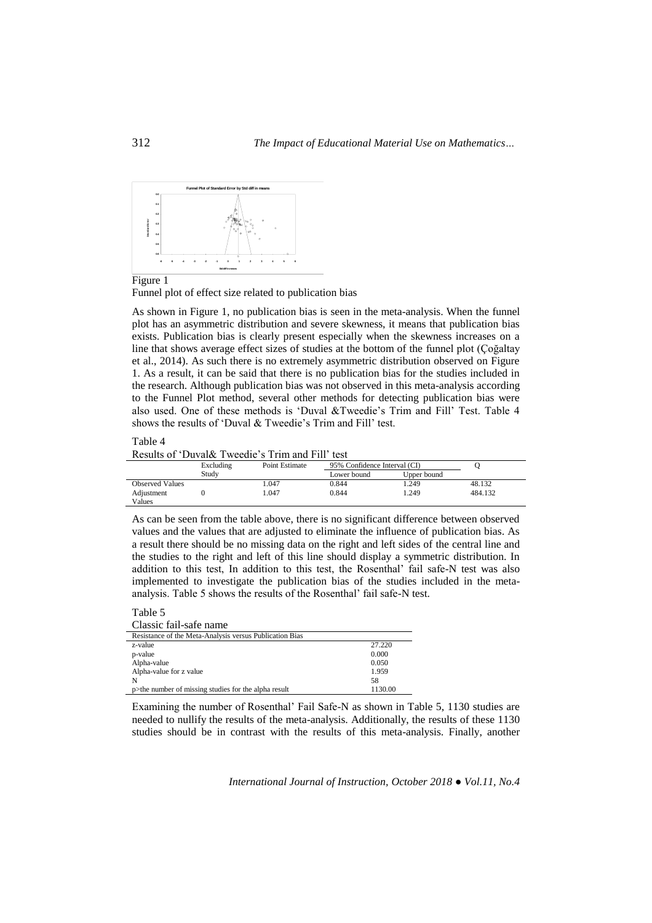

### Figure 1

Funnel plot of effect size related to publication bias

As shown in Figure 1, no publication bias is seen in the meta-analysis. When the funnel plot has an asymmetric distribution and severe skewness, it means that publication bias exists. Publication bias is clearly present especially when the skewness increases on a line that shows average effect sizes of studies at the bottom of the funnel plot (Çoğaltay et al., 2014). As such there is no extremely asymmetric distribution observed on Figure 1. As a result, it can be said that there is no publication bias for the studies included in the research. Although publication bias was not observed in this meta-analysis according to the Funnel Plot method, several other methods for detecting publication bias were also used. One of these methods is 'Duval &Tweedie's Trim and Fill' Test. Table 4 shows the results of 'Duval & Tweedie's Trim and Fill' test.

Table 4

Results of 'Duval& Tweedie's Trim and Fill' test

|                        | Excluding | Point Estimate | 95% Confidence Interval (CI) |             |         |
|------------------------|-----------|----------------|------------------------------|-------------|---------|
|                        | Study     |                | Lower bound                  | Upper bound |         |
| <b>Observed Values</b> |           | 1.047          | 0.844                        | 1.249       | 48.132  |
| Adjustment             |           | 1.047          | 0.844                        | 1.249       | 484.132 |
| Values                 |           |                |                              |             |         |

As can be seen from the table above, there is no significant difference between observed values and the values that are adjusted to eliminate the influence of publication bias. As a result there should be no missing data on the right and left sides of the central line and the studies to the right and left of this line should display a symmetric distribution. In addition to this test, In addition to this test, the Rosenthal' fail safe-N test was also implemented to investigate the publication bias of the studies included in the metaanalysis. Table 5 shows the results of the Rosenthal' fail safe-N test.

Table 5

| Classic fail-safe name                                  |         |
|---------------------------------------------------------|---------|
| Resistance of the Meta-Analysis versus Publication Bias |         |
| z-value                                                 | 27.220  |
| p-value                                                 | 0.000   |
| Alpha-value                                             | 0.050   |
| Alpha-value for z value                                 | 1.959   |
| N                                                       | 58      |
| p>the number of missing studies for the alpha result    | 1130.00 |

Examining the number of Rosenthal' Fail Safe-N as shown in Table 5, 1130 studies are needed to nullify the results of the meta-analysis. Additionally, the results of these 1130 studies should be in contrast with the results of this meta-analysis. Finally, another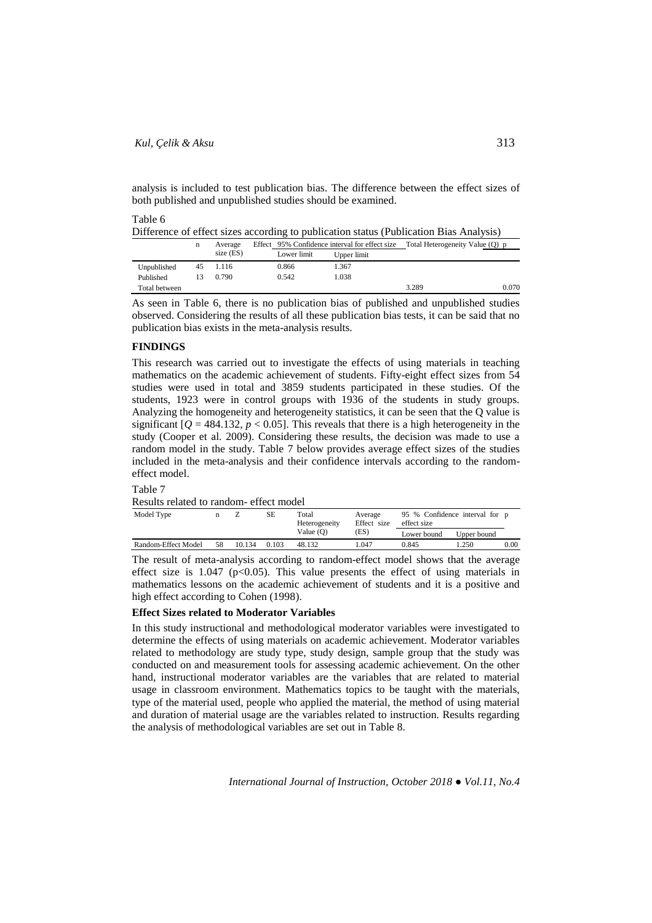analysis is included to test publication bias. The difference between the effect sizes of both published and unpublished studies should be examined.

### Table 6

Difference of effect sizes according to publication status (Publication Bias Analysis)

|               | n  | Average     |  |             | Effect 95% Confidence interval for effect size | Total Heterogeneity Value (Q) p |       |
|---------------|----|-------------|--|-------------|------------------------------------------------|---------------------------------|-------|
|               |    | size $(ES)$ |  | Lower limit | Upper limit                                    |                                 |       |
| Unpublished   | 45 | .116        |  | 0.866       | 1.367                                          |                                 |       |
| Published     |    | 0.790       |  | 0.542       | 1.038                                          |                                 |       |
| Total between |    |             |  |             |                                                | 3.289                           | 0.070 |

As seen in Table 6, there is no publication bias of published and unpublished studies observed. Considering the results of all these publication bias tests, it can be said that no publication bias exists in the meta-analysis results.

### **FINDINGS**

This research was carried out to investigate the effects of using materials in teaching mathematics on the academic achievement of students. Fifty-eight effect sizes from 54 studies were used in total and 3859 students participated in these studies. Of the students, 1923 were in control groups with 1936 of the students in study groups. Analyzing the homogeneity and heterogeneity statistics, it can be seen that the Q value is significant  $[Q = 484.132, p < 0.05]$ . This reveals that there is a high heterogeneity in the study (Cooper et al. 2009). Considering these results, the decision was made to use a random model in the study. Table 7 below provides average effect sizes of the studies included in the meta-analysis and their confidence intervals according to the randomeffect model.

### Table 7

Results related to random- effect model

| Model Type          |    |        | SE    | Total<br>Heterogeneity | Average<br>Effect size | 95 % Confidence interval for p<br>effect size |             |      |  |
|---------------------|----|--------|-------|------------------------|------------------------|-----------------------------------------------|-------------|------|--|
|                     |    |        |       | Value (O)              | (ES)                   | Lower bound                                   | Upper bound |      |  |
| Random-Effect Model | 58 | 10.134 | 0.103 | 48.132                 | .047                   | 0.845                                         | .250        | 0.00 |  |

The result of meta-analysis according to random-effect model shows that the average effect size is 1.047 ( $p<0.05$ ). This value presents the effect of using materials in mathematics lessons on the academic achievement of students and it is a positive and high effect according to Cohen (1998).

### **Effect Sizes related to Moderator Variables**

In this study instructional and methodological moderator variables were investigated to determine the effects of using materials on academic achievement. Moderator variables related to methodology are study type, study design, sample group that the study was conducted on and measurement tools for assessing academic achievement. On the other hand, instructional moderator variables are the variables that are related to material usage in classroom environment. Mathematics topics to be taught with the materials, type of the material used, people who applied the material, the method of using material and duration of material usage are the variables related to instruction. Results regarding the analysis of methodological variables are set out in Table 8.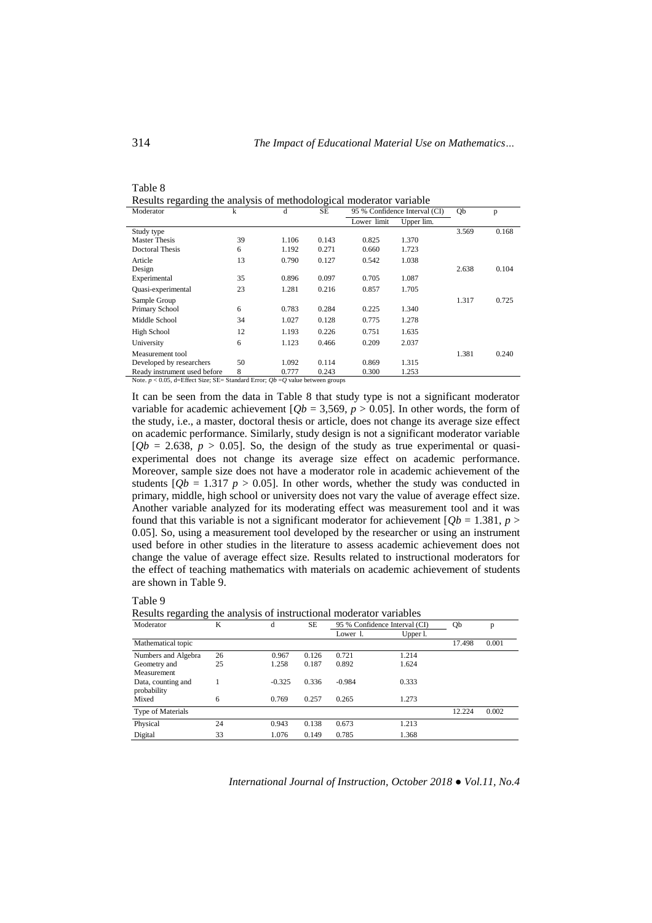| Results regarding the analysis of methodological moderator variable               |    |       |       |             |                               |       |       |  |  |
|-----------------------------------------------------------------------------------|----|-------|-------|-------------|-------------------------------|-------|-------|--|--|
| Moderator                                                                         | k  | d     | SE    |             | 95 % Confidence Interval (CI) | Qb    | p     |  |  |
|                                                                                   |    |       |       | Lower limit | Upper lim.                    |       |       |  |  |
| Study type                                                                        |    |       |       |             |                               | 3.569 | 0.168 |  |  |
| <b>Master Thesis</b>                                                              | 39 | 1.106 | 0.143 | 0.825       | 1.370                         |       |       |  |  |
| Doctoral Thesis                                                                   | 6  | 1.192 | 0.271 | 0.660       | 1.723                         |       |       |  |  |
| Article                                                                           | 13 | 0.790 | 0.127 | 0.542       | 1.038                         |       |       |  |  |
| Design                                                                            |    |       |       |             |                               | 2.638 | 0.104 |  |  |
| Experimental                                                                      | 35 | 0.896 | 0.097 | 0.705       | 1.087                         |       |       |  |  |
| Quasi-experimental                                                                | 23 | 1.281 | 0.216 | 0.857       | 1.705                         |       |       |  |  |
| Sample Group                                                                      |    |       |       |             |                               | 1.317 | 0.725 |  |  |
| Primary School                                                                    | 6  | 0.783 | 0.284 | 0.225       | 1.340                         |       |       |  |  |
| Middle School                                                                     | 34 | 1.027 | 0.128 | 0.775       | 1.278                         |       |       |  |  |
| High School                                                                       | 12 | 1.193 | 0.226 | 0.751       | 1.635                         |       |       |  |  |
| University                                                                        | 6  | 1.123 | 0.466 | 0.209       | 2.037                         |       |       |  |  |
| Measurement tool                                                                  |    |       |       |             |                               | 1.381 | 0.240 |  |  |
| Developed by researchers                                                          | 50 | 1.092 | 0.114 | 0.869       | 1.315                         |       |       |  |  |
| Ready instrument used before                                                      | 8  | 0.777 | 0.243 | 0.300       | 1.253                         |       |       |  |  |
| Note. $p < 0.05$ , d=Effect Size; SE= Standard Error; Qb = Q value between groups |    |       |       |             |                               |       |       |  |  |

It can be seen from the data in Table 8 that study type is not a significant moderator

variable for academic achievement  $[Ob = 3,569, p > 0.05]$ . In other words, the form of the study, i.e., a master, doctoral thesis or article, does not change its average size effect on academic performance. Similarly, study design is not a significant moderator variable  $[Qb = 2.638, p > 0.05]$ . So, the design of the study as true experimental or quasiexperimental does not change its average size effect on academic performance. Moreover, sample size does not have a moderator role in academic achievement of the students  $[Qb = 1.317 \ p > 0.05]$ . In other words, whether the study was conducted in primary, middle, high school or university does not vary the value of average effect size. Another variable analyzed for its moderating effect was measurement tool and it was found that this variable is not a significant moderator for achievement  $[Qb = 1.381, p >$ 0.05]. So, using a measurement tool developed by the researcher or using an instrument used before in other studies in the literature to assess academic achievement does not change the value of average effect size. Results related to instructional moderators for the effect of teaching mathematics with materials on academic achievement of students are shown in Table 9.

| ш |  |
|---|--|
|---|--|

Results regarding the analysis of instructional moderator variables

| Moderator           | K  | đ        | SE    | 95 % Confidence Interval (CI) |          | Qb     | p     |
|---------------------|----|----------|-------|-------------------------------|----------|--------|-------|
|                     |    |          |       | Lower 1.                      | Upper 1. |        |       |
| Mathematical topic  |    |          |       |                               |          | 17.498 | 0.001 |
| Numbers and Algebra | 26 | 0.967    | 0.126 | 0.721                         | 1.214    |        |       |
| Geometry and        | 25 | 1.258    | 0.187 | 0.892                         | 1.624    |        |       |
| Measurement         |    |          |       |                               |          |        |       |
| Data, counting and  |    | $-0.325$ | 0.336 | $-0.984$                      | 0.333    |        |       |
| probability         |    |          |       |                               |          |        |       |
| Mixed               | 6  | 0.769    | 0.257 | 0.265                         | 1.273    |        |       |
| Type of Materials   |    |          |       |                               |          | 12.224 | 0.002 |
| Physical            | 24 | 0.943    | 0.138 | 0.673                         | 1.213    |        |       |
| Digital             | 33 | 1.076    | 0.149 | 0.785                         | 1.368    |        |       |

*International Journal of Instruction, October 2018 ● Vol.11, No.4*

Table 8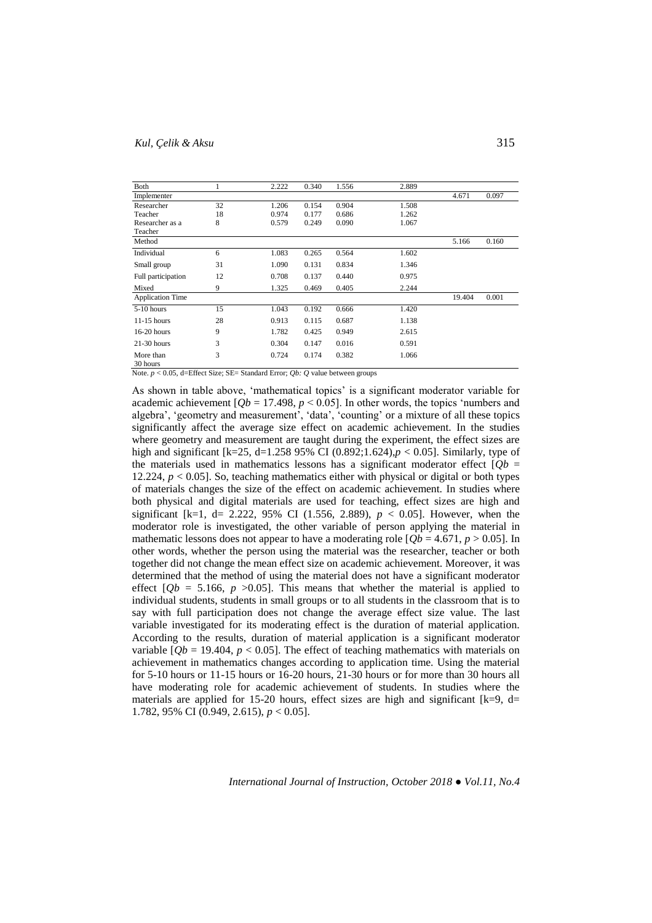## *Kul, Çelik & Aksu* 315

| Both                    | 1  | 2.222 | 0.340 | 1.556 | 2.889 |        |       |
|-------------------------|----|-------|-------|-------|-------|--------|-------|
| Implementer             |    |       |       |       |       | 4.671  | 0.097 |
| Researcher              | 32 | 1.206 | 0.154 | 0.904 | 1.508 |        |       |
| Teacher                 | 18 | 0.974 | 0.177 | 0.686 | 1.262 |        |       |
| Researcher as a         | 8  | 0.579 | 0.249 | 0.090 | 1.067 |        |       |
| Teacher                 |    |       |       |       |       |        |       |
| Method                  |    |       |       |       |       | 5.166  | 0.160 |
| Individual              | 6  | 1.083 | 0.265 | 0.564 | 1.602 |        |       |
| Small group             | 31 | 1.090 | 0.131 | 0.834 | 1.346 |        |       |
| Full participation      | 12 | 0.708 | 0.137 | 0.440 | 0.975 |        |       |
| Mixed                   | 9  | 1.325 | 0.469 | 0.405 | 2.244 |        |       |
| <b>Application Time</b> |    |       |       |       |       | 19.404 | 0.001 |
| $5-10$ hours            | 15 | 1.043 | 0.192 | 0.666 | 1.420 |        |       |
| $11-15$ hours           | 28 | 0.913 | 0.115 | 0.687 | 1.138 |        |       |
| $16-20$ hours           | 9  | 1.782 | 0.425 | 0.949 | 2.615 |        |       |
| $21-30$ hours           | 3  | 0.304 | 0.147 | 0.016 | 0.591 |        |       |
| More than<br>30 hours   | 3  | 0.724 | 0.174 | 0.382 | 1.066 |        |       |

Note. *p* < 0.05, d=Effect Size; SE= Standard Error; *Qb: Q* value between groups

As shown in table above, 'mathematical topics' is a significant moderator variable for academic achievement  $[Ob = 17.498, p < 0.05]$ . In other words, the topics 'numbers and algebra', 'geometry and measurement', 'data', 'counting' or a mixture of all these topics significantly affect the average size effect on academic achievement. In the studies where geometry and measurement are taught during the experiment, the effect sizes are high and significant [k=25, d=1.258 95% CI (0.892;1.624),*p* < 0.05]. Similarly, type of the materials used in mathematics lessons has a significant moderator effect  $[Qb =$ 12.224, *p* < 0.05]. So, teaching mathematics either with physical or digital or both types of materials changes the size of the effect on academic achievement. In studies where both physical and digital materials are used for teaching, effect sizes are high and significant [k=1, d= 2.222, 95% CI (1.556, 2.889), *p* < 0.05]. However, when the moderator role is investigated, the other variable of person applying the material in mathematic lessons does not appear to have a moderating role  $[Ob = 4.671, p > 0.05]$ . In other words, whether the person using the material was the researcher, teacher or both together did not change the mean effect size on academic achievement. Moreover, it was determined that the method of using the material does not have a significant moderator effect  $[Qb = 5.166, p > 0.05]$ . This means that whether the material is applied to individual students, students in small groups or to all students in the classroom that is to say with full participation does not change the average effect size value. The last variable investigated for its moderating effect is the duration of material application. According to the results, duration of material application is a significant moderator variable  $[Qb = 19.404, p < 0.05]$ . The effect of teaching mathematics with materials on achievement in mathematics changes according to application time. Using the material for 5-10 hours or 11-15 hours or 16-20 hours, 21-30 hours or for more than 30 hours all have moderating role for academic achievement of students. In studies where the materials are applied for 15-20 hours, effect sizes are high and significant [k=9, d= 1.782, 95% CI (0.949, 2.615), *p* < 0.05].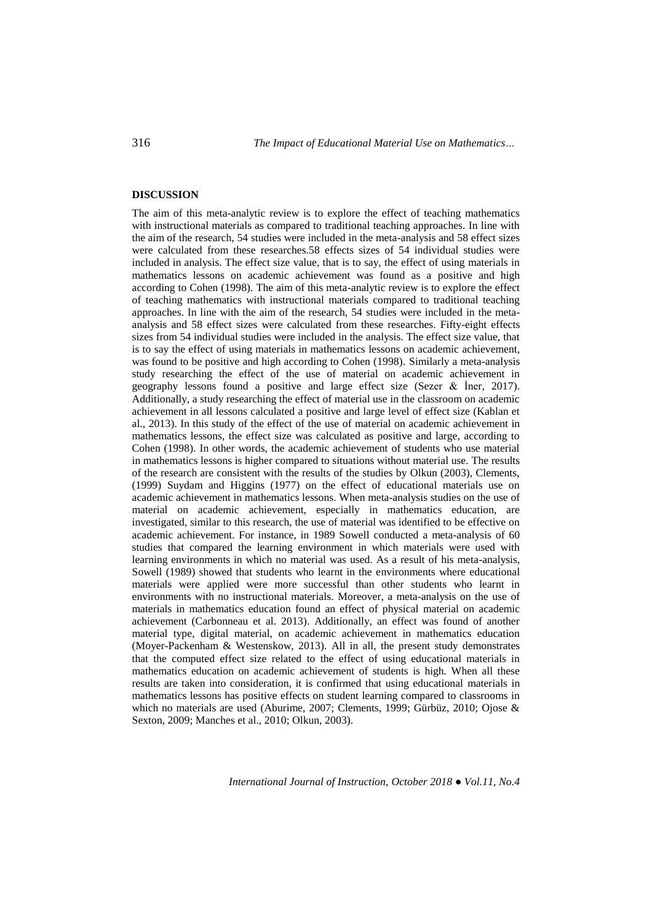### **DISCUSSION**

The aim of this meta-analytic review is to explore the effect of teaching mathematics with instructional materials as compared to traditional teaching approaches. In line with the aim of the research, 54 studies were included in the meta-analysis and 58 effect sizes were calculated from these researches.58 effects sizes of 54 individual studies were included in analysis. The effect size value, that is to say, the effect of using materials in mathematics lessons on academic achievement was found as a positive and high according to Cohen (1998). The aim of this meta-analytic review is to explore the effect of teaching mathematics with instructional materials compared to traditional teaching approaches. In line with the aim of the research, 54 studies were included in the metaanalysis and 58 effect sizes were calculated from these researches. Fifty-eight effects sizes from 54 individual studies were included in the analysis. The effect size value, that is to say the effect of using materials in mathematics lessons on academic achievement, was found to be positive and high according to Cohen (1998). Similarly a meta-analysis study researching the effect of the use of material on academic achievement in geography lessons found a positive and large effect size (Sezer & İner, 2017). Additionally, a study researching the effect of material use in the classroom on academic achievement in all lessons calculated a positive and large level of effect size (Kablan et al., 2013). In this study of the effect of the use of material on academic achievement in mathematics lessons, the effect size was calculated as positive and large, according to Cohen (1998). In other words, the academic achievement of students who use material in mathematics lessons is higher compared to situations without material use. The results of the research are consistent with the results of the studies by Olkun (2003), Clements, (1999) Suydam and Higgins (1977) on the effect of educational materials use on academic achievement in mathematics lessons. When meta-analysis studies on the use of material on academic achievement, especially in mathematics education, are investigated, similar to this research, the use of material was identified to be effective on academic achievement. For instance, in 1989 Sowell conducted a meta-analysis of 60 studies that compared the learning environment in which materials were used with learning environments in which no material was used. As a result of his meta-analysis, Sowell (1989) showed that students who learnt in the environments where educational materials were applied were more successful than other students who learnt in environments with no instructional materials. Moreover, a meta-analysis on the use of materials in mathematics education found an effect of physical material on academic achievement (Carbonneau et al. 2013). Additionally, an effect was found of another material type, digital material, on academic achievement in mathematics education (Moyer-Packenham & Westenskow, 2013). All in all, the present study demonstrates that the computed effect size related to the effect of using educational materials in mathematics education on academic achievement of students is high. When all these results are taken into consideration, it is confirmed that using educational materials in mathematics lessons has positive effects on student learning compared to classrooms in which no materials are used (Aburime, 2007; Clements, 1999; Gürbüz, 2010; Ojose & Sexton, 2009; Manches et al., 2010; Olkun, 2003).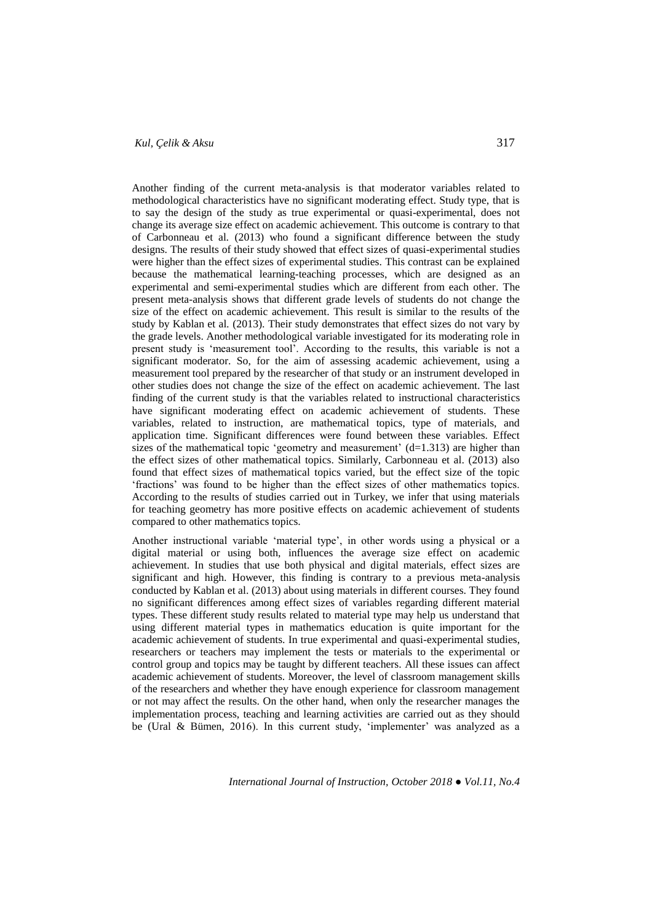## *Kul, Çelik & Aksu* 317

Another finding of the current meta-analysis is that moderator variables related to methodological characteristics have no significant moderating effect. Study type, that is to say the design of the study as true experimental or quasi-experimental, does not change its average size effect on academic achievement. This outcome is contrary to that of Carbonneau et al*.* (2013) who found a significant difference between the study designs. The results of their study showed that effect sizes of quasi-experimental studies were higher than the effect sizes of experimental studies. This contrast can be explained because the mathematical learning-teaching processes, which are designed as an experimental and semi-experimental studies which are different from each other. The present meta-analysis shows that different grade levels of students do not change the size of the effect on academic achievement. This result is similar to the results of the study by Kablan et al*.* (2013). Their study demonstrates that effect sizes do not vary by the grade levels. Another methodological variable investigated for its moderating role in present study is 'measurement tool'. According to the results, this variable is not a significant moderator. So, for the aim of assessing academic achievement, using a measurement tool prepared by the researcher of that study or an instrument developed in other studies does not change the size of the effect on academic achievement. The last finding of the current study is that the variables related to instructional characteristics have significant moderating effect on academic achievement of students. These variables, related to instruction, are mathematical topics, type of materials, and application time. Significant differences were found between these variables. Effect sizes of the mathematical topic 'geometry and measurement'  $(d=1.313)$  are higher than the effect sizes of other mathematical topics. Similarly, Carbonneau et al. (2013) also found that effect sizes of mathematical topics varied, but the effect size of the topic 'fractions' was found to be higher than the effect sizes of other mathematics topics. According to the results of studies carried out in Turkey, we infer that using materials for teaching geometry has more positive effects on academic achievement of students compared to other mathematics topics.

Another instructional variable 'material type', in other words using a physical or a digital material or using both, influences the average size effect on academic achievement. In studies that use both physical and digital materials, effect sizes are significant and high. However, this finding is contrary to a previous meta-analysis conducted by Kablan et al. (2013) about using materials in different courses. They found no significant differences among effect sizes of variables regarding different material types. These different study results related to material type may help us understand that using different material types in mathematics education is quite important for the academic achievement of students. In true experimental and quasi-experimental studies, researchers or teachers may implement the tests or materials to the experimental or control group and topics may be taught by different teachers. All these issues can affect academic achievement of students. Moreover, the level of classroom management skills of the researchers and whether they have enough experience for classroom management or not may affect the results. On the other hand, when only the researcher manages the implementation process, teaching and learning activities are carried out as they should be (Ural & Bümen, 2016). In this current study, 'implementer' was analyzed as a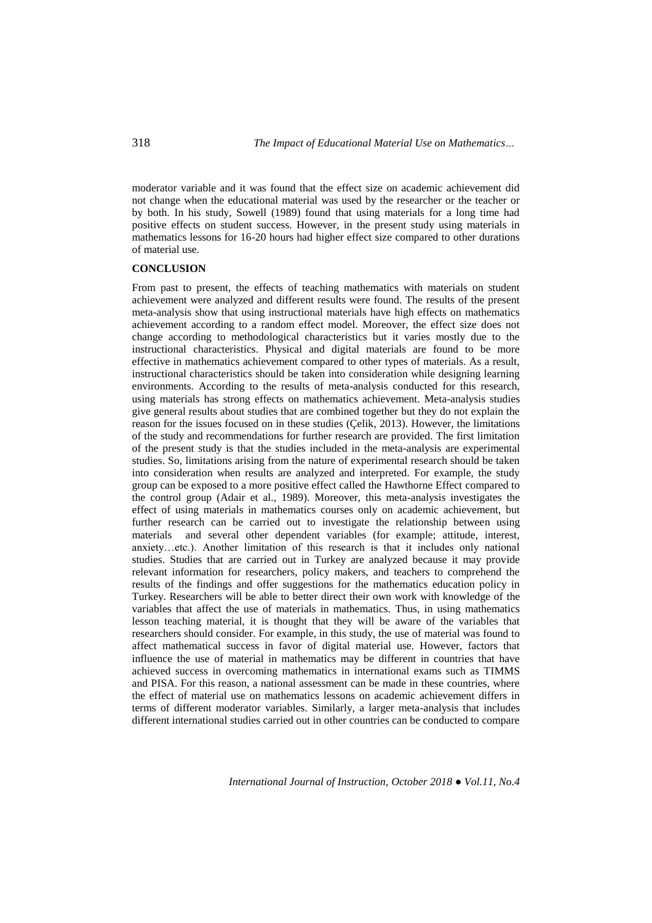moderator variable and it was found that the effect size on academic achievement did not change when the educational material was used by the researcher or the teacher or by both. In his study, Sowell (1989) found that using materials for a long time had positive effects on student success. However, in the present study using materials in mathematics lessons for 16-20 hours had higher effect size compared to other durations of material use.

## **CONCLUSION**

From past to present, the effects of teaching mathematics with materials on student achievement were analyzed and different results were found. The results of the present meta-analysis show that using instructional materials have high effects on mathematics achievement according to a random effect model. Moreover, the effect size does not change according to methodological characteristics but it varies mostly due to the instructional characteristics. Physical and digital materials are found to be more effective in mathematics achievement compared to other types of materials. As a result, instructional characteristics should be taken into consideration while designing learning environments. According to the results of meta-analysis conducted for this research, using materials has strong effects on mathematics achievement. Meta-analysis studies give general results about studies that are combined together but they do not explain the reason for the issues focused on in these studies (Çelik, 2013). However, the limitations of the study and recommendations for further research are provided. The first limitation of the present study is that the studies included in the meta-analysis are experimental studies. So, limitations arising from the nature of experimental research should be taken into consideration when results are analyzed and interpreted. For example, the study group can be exposed to a more positive effect called the Hawthorne Effect compared to the control group (Adair et al., 1989). Moreover, this meta-analysis investigates the effect of using materials in mathematics courses only on academic achievement, but further research can be carried out to investigate the relationship between using materials and several other dependent variables (for example; attitude, interest, anxiety…etc.). Another limitation of this research is that it includes only national studies. Studies that are carried out in Turkey are analyzed because it may provide relevant information for researchers, policy makers, and teachers to comprehend the results of the findings and offer suggestions for the mathematics education policy in Turkey. Researchers will be able to better direct their own work with knowledge of the variables that affect the use of materials in mathematics. Thus, in using mathematics lesson teaching material, it is thought that they will be aware of the variables that researchers should consider. For example, in this study, the use of material was found to affect mathematical success in favor of digital material use. However, factors that influence the use of material in mathematics may be different in countries that have achieved success in overcoming mathematics in international exams such as TIMMS and PISA. For this reason, a national assessment can be made in these countries, where the effect of material use on mathematics lessons on academic achievement differs in terms of different moderator variables. Similarly, a larger meta-analysis that includes different international studies carried out in other countries can be conducted to compare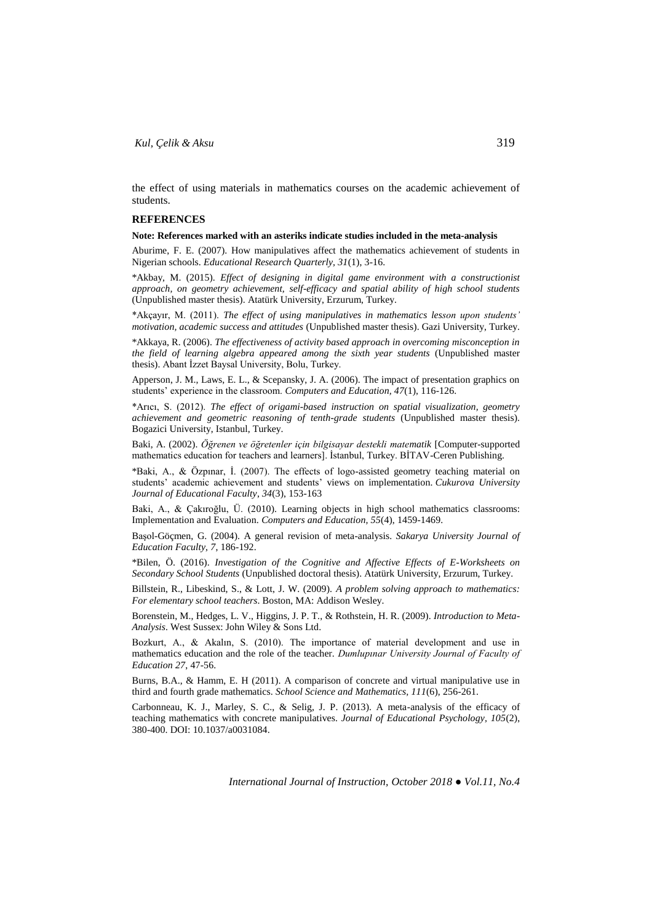the effect of using materials in mathematics courses on the academic achievement of students.

### **REFERENCES**

#### **Note: References marked with an asteriks indicate studies included in the meta-analysis**

Aburime, F. E. (2007). How manipulatives affect the mathematics achievement of students in Nigerian schools. *Educational Research Quarterly, 31*(1), 3-16.

\*Akbay, M. (2015). *Effect of designing in digital game environment with a constructionist approach, on geometry achievement, self-efficacy and spatial ability of high school students* (Unpublished master thesis). Atatürk University, Erzurum, Turkey.

\*Akçayır, M. (2011). *The effect of using manipulatives in mathematics lesson upon students' motivation, academic success and attitudes* (Unpublished master thesis). Gazi University, Turkey.

\*Akkaya, R. (2006). *The effectiveness of activity based approach in overcoming misconception in the field of learning algebra appeared among the sixth year students* (Unpublished master thesis). Abant İzzet Baysal University, Bolu, Turkey.

Apperson, J. M., Laws, E. L., & Scepansky, J. A. (2006). The impact of presentation graphics on students' experience in the classroom. *Computers and Education, 47*(1), 116-126.

\*Arıcı, S. (2012). *The effect of origami-based instruction on spatial visualization, geometry achievement and geometric reasoning of tenth-grade students* (Unpublished master thesis). Bogazici University, Istanbul, Turkey.

Baki, A. (2002). *Öğrenen ve öğretenler için bilgisayar destekli matematik* [Computer-supported mathematics education for teachers and learners]. İstanbul, Turkey. BİTAV-Ceren Publishing.

\*Baki, A., & Özpınar, İ. (2007). The effects of logo-assisted geometry teaching material on students' academic achievement and students' views on implementation. *Cukurova University Journal of Educational Faculty*, *34*(3), 153-163

Baki, A., & Çakıroğlu, Ü. (2010). Learning objects in high school mathematics classrooms: Implementation and Evaluation. *Computers and Education, 55*(4), 1459-1469.

Başol-Göçmen, G. (2004). A general revision of meta-analysis. *Sakarya University Journal of Education Faculty, 7*, 186-192.

\*Bilen, Ö. (2016). *Investigation of the Cognitive and Affective Effects of E-Worksheets on Secondary School Students* (Unpublished doctoral thesis). Atatürk University, Erzurum, Turkey.

Billstein, R., Libeskind, S., & Lott, J. W. (2009). *A problem solving approach to mathematics: For elementary school teachers*. Boston, MA: Addison Wesley.

Borenstein, M., Hedges, L. V., Higgins, J. P. T., & Rothstein, H. R. (2009). *Introduction to Meta-Analysis*. West Sussex: John Wiley & Sons Ltd.

Bozkurt, A., & Akalın, S. (2010). The importance of material development and use in mathematics education and the role of the teacher. *Dumlupınar University Journal of Faculty of Education 27*, 47-56.

Burns, B.A., & Hamm, E. H (2011). A comparison of concrete and virtual manipulative use in third and fourth grade mathematics. *School Science and Mathematics, 111*(6), 256-261.

Carbonneau, K. J., Marley, S. C., & Selig, J. P. (2013). A meta-analysis of the efficacy of teaching mathematics with concrete manipulatives. *Journal of Educational Psychology, 105*(2), 380-400. DOI: 10.1037/a0031084.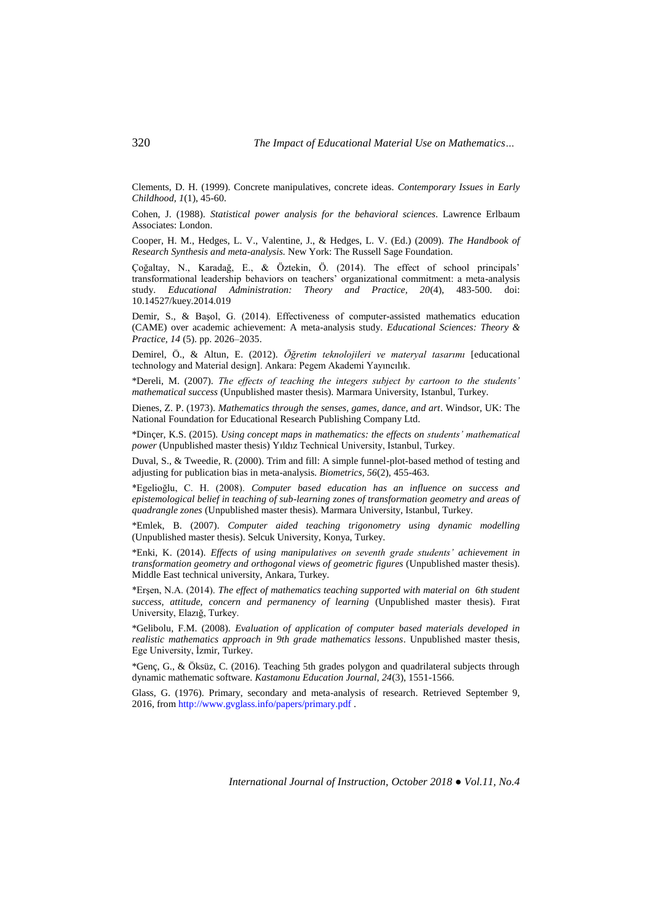Clements, D. H. (1999). Concrete manipulatives, concrete ideas. *Contemporary Issues in Early Childhood, 1*(1), 45-60.

Cohen, J. (1988). *Statistical power analysis for the behavioral sciences*. Lawrence Erlbaum Associates: London.

Cooper, H. M., Hedges, L. V., Valentine, J., & Hedges, L. V. (Ed.) (2009). *The Handbook of Research Synthesis and meta-analysis.* New York: The Russell Sage Foundation.

Çoğaltay, N., Karadağ, E., & Öztekin, Ö. (2014). The effect of school principals' transformational leadership behaviors on teachers' organizational commitment: a meta-analysis study. *Educational Administration: Theory and Practice, 20*(4), 483-500. doi: 10.14527/kuey.2014.019

Demir, S., & Başol, G. (2014). Effectiveness of computer-assisted mathematics education (CAME) over academic achievement: A meta-analysis study. *Educational Sciences: Theory & Practice, 14* (5). pp. 2026–2035.

Demirel, Ö., & Altun, E. (2012). *Öğretim teknolojileri ve materyal tasarımı* [educational technology and Material design]. Ankara: Pegem Akademi Yayıncılık.

\*Dereli, M. (2007). *The effects of teaching the integers subject by cartoon to the students' mathematical success* (Unpublished master thesis). Marmara University, Istanbul, Turkey.

Dienes, Z. P. (1973). *Mathematics through the senses, games, dance, and art*. Windsor, UK: The National Foundation for Educational Research Publishing Company Ltd.

\*Dinçer, K.S. (2015). *Using concept maps in mathematics: the effects on students' mathematical power* (Unpublished master thesis) Yıldız Technical University, Istanbul, Turkey.

Duval, S., & Tweedie, R. (2000). Trim and fill: A simple funnel-plot-based method of testing and adjusting for publication bias in meta-analysis. *Biometrics, 56*(2), 455-463.

\*Egelioğlu, C. H. (2008). *Computer based education has an influence on success and epistemological belief in teaching of sub-learning zones of transformation geometry and areas of quadrangle zones* (Unpublished master thesis). Marmara University, Istanbul, Turkey.

\*Emlek, B. (2007). *Computer aided teaching trigonometry using dynamic modelling* (Unpublished master thesis). Selcuk University, Konya, Turkey.

\*Enki, K. (2014). *Effects of using manipulatives on seventh grade students' achievement in transformation geometry and orthogonal views of geometric figures* (Unpublished master thesis). Middle East technical university, Ankara, Turkey.

\*Erşen, N.A. (2014). *The effect of mathematics teaching supported with material on 6th student success, attitude, concern and permanency of learning* (Unpublished master thesis). Fırat University, Elazığ, Turkey.

\*Gelibolu, F.M. (2008). *Evaluation of application of computer based materials developed in realistic mathematics approach in 9th grade mathematics lessons*. Unpublished master thesis, Ege University, İzmir, Turkey.

\*Genç, G., & Öksüz, C. (2016). Teaching 5th grades polygon and quadrilateral subjects through dynamic mathematic software. *Kastamonu Education Journal, 24*(3), 1551-1566.

Glass, G. (1976). Primary, secondary and meta-analysis of research. Retrieved September 9, 2016, from<http://www.gvglass.info/papers/primary.pdf> .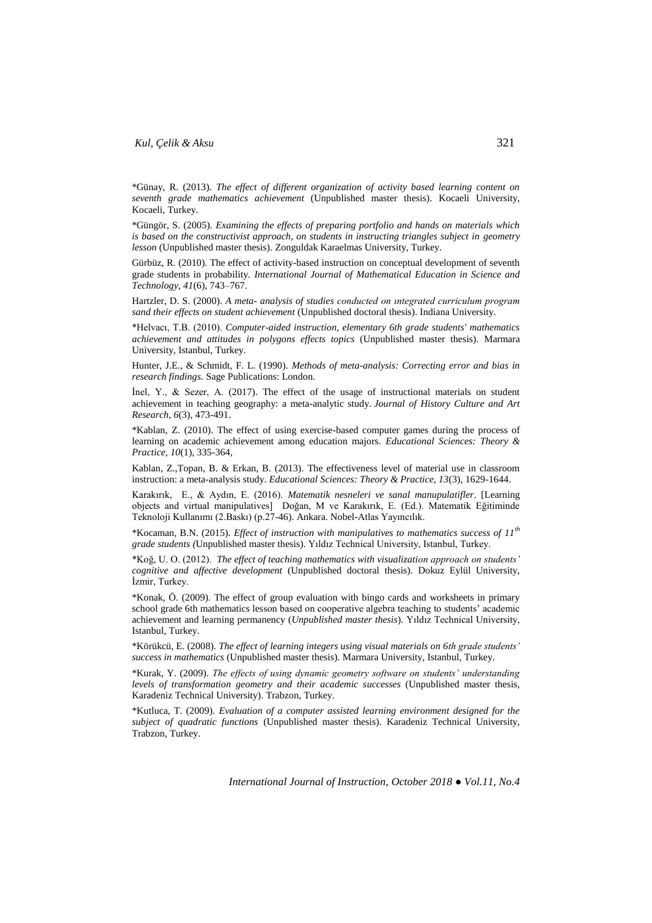\*Günay, R. (2013). *The effect of different organization of activity based learning content on seventh grade mathematics achievement* (Unpublished master thesis). Kocaeli University, Kocaeli, Turkey.

\*Güngör, S. (2005). *Examining the effects of preparing portfolio and hands on materials which is based on the constructivist approach, on students in instructing triangles subject in geometry lesson* (Unpublished master thesis). Zonguldak Karaelmas University, Turkey.

Gürbüz, R. (2010). The effect of activity-based instruction on conceptual development of seventh grade students in probability. *International Journal of Mathematical Education in Science and Technology, 41*(6), 743–767.

Hartzler, D. S. (2000). *A meta- analysis of studies conducted on ıntegrated curriculum program sand their effects on student achievement* (Unpublished doctoral thesis). Indiana University.

\*Helvacı, T.B. (2010). *Computer-aided instruction, elementary 6th grade students' mathematics achievement and attitudes in polygons effects topics* (Unpublished master thesis). Marmara University, Istanbul, Turkey.

Hunter, J.E., & Schmidt, F. L. (1990). *Methods of meta-analysis: Correcting error and bias in research findings.* Sage Publications: London.

İnel, Y., & Sezer, A. (2017). The effect of the usage of instructional materials on student achievement in teaching geography: a meta-analytic study. *Journal of History Culture and Art Research*, *6*(3), 473-491.

\*Kablan, Z. (2010). The effect of using exercise-based computer games during the process of learning on academic achievement among education majors. *Educational Sciences: Theory & Practice, 10*(1), 335-364,

Kablan, Z.,Topan, B. & Erkan, B. (2013). The effectiveness level of material use in classroom instruction: a meta-analysis study. *Educational Sciences: Theory & Practice, 13*(3), 1629-1644.

Karakırık, E., & Aydın, E. (2016). *Matematik nesneleri ve sanal manupulatifler*. [Learning objects and virtual manipulatives] Doğan, M ve Karakırık, E. (Ed.). Matematik Eğitiminde Teknoloji Kullanımı (2.Baskı) (p.27-46). Ankara. Nobel-Atlas Yayıncılık.

\*Kocaman, B.N. (2015). *Effect of instruction with manipulatives to mathematics success of 11th grade students (*Unpublished master thesis). Yıldız Technical University, Istanbul, Turkey.

\*Koğ, U. O. (2012). *The effect of teaching mathematics with visualization approach on students' cognitive and affective development* (Unpublished doctoral thesis). Dokuz Eylül University, İzmir, Turkey.

\*Konak, Ö. (2009). The effect of group evaluation with bingo cards and worksheets in primary school grade 6th mathematics lesson based on cooperative algebra teaching to students' academic achievement and learning permanency (*Unpublished master thesis*). Yıldız Technical University, Istanbul, Turkey.

\*Körükcü, E. (2008). *The effect of learning integers using visual materials on 6th grade students' success in mathematics* (Unpublished master thesis). Marmara University, Istanbul, Turkey.

\*Kurak, Y. (2009). *The effects of using dynamic geometry software on students' understanding levels of transformation geometry and their academic successes* (Unpublished master thesis, Karadeniz Technical University). Trabzon, Turkey.

\*Kutluca, T. (2009). *Evaluation of a computer assisted learning environment designed for the subject of quadratic functions* (Unpublished master thesis). Karadeniz Technical University, Trabzon, Turkey.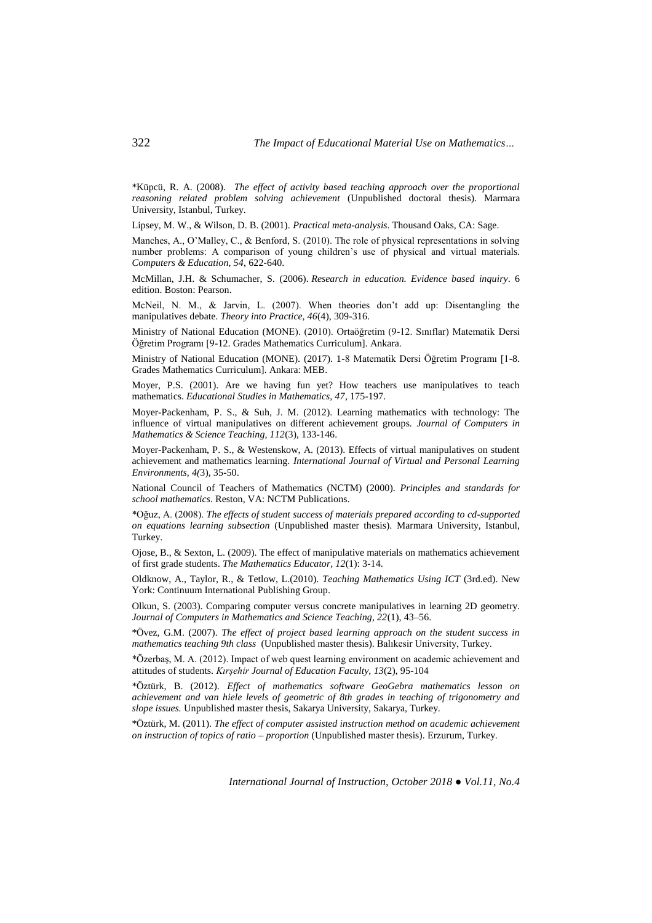\*Küpcü, R. A. (2008). *The effect of activity based teaching approach over the proportional reasoning related problem solving achievement* (Unpublished doctoral thesis). Marmara University, Istanbul, Turkey.

Lipsey, M. W., & Wilson, D. B. (2001). *Practical meta-analysis*. Thousand Oaks, CA: Sage.

Manches, A., O'Malley, C., & Benford, S. (2010). The role of physical representations in solving number problems: A comparison of young children's use of physical and virtual materials. *Computers & Education, 54*, 622-640.

McMillan, J.H. & Schumacher, S. (2006). *Research in education. Evidence based inquiry*. 6 edition. Boston: Pearson.

McNeil, N. M., & Jarvin, L. (2007). When theories don't add up: Disentangling the manipulatives debate. *Theory into Practice, 46*(4), 309-316.

Ministry of National Education (MONE). (2010). Ortaöğretim (9-12. Sınıflar) Matematik Dersi Öğretim Programı [9-12. Grades Mathematics Curriculum]. Ankara.

Ministry of National Education (MONE). (2017). 1-8 Matematik Dersi Öğretim Programı [1-8. Grades Mathematics Curriculum]. Ankara: MEB.

Moyer, P.S. (2001). Are we having fun yet? How teachers use manipulatives to teach mathematics. *Educational Studies in Mathematics, 47*, 175-197.

Moyer-Packenham, P. S., & Suh, J. M. (2012). Learning mathematics with technology: The influence of virtual manipulatives on different achievement groups. *Journal of Computers in Mathematics & Science Teaching, 112*(3), 133-146.

Moyer-Packenham, P. S., & Westenskow, A. (2013). Effects of virtual manipulatives on student achievement and mathematics learning. *International Journal of Virtual and Personal Learning Environments, 4(*3), 35-50.

National Council of Teachers of Mathematics (NCTM) (2000). *Principles and standards for school mathematics*. Reston, VA: NCTM Publications.

\*Oğuz, A. (2008). *The effects of student success of materials prepared according to cd-supported on equations learning subsection* (Unpublished master thesis). Marmara University, Istanbul, Turkey.

Ojose, B., & Sexton, L. (2009). The effect of manipulative materials on mathematics achievement of first grade students. *The Mathematics Educator, 12*(1): 3-14.

Oldknow, A., Taylor, R., & Tetlow, L.(2010). *Teaching Mathematics Using ICT* (3rd.ed). New York: Continuum International Publishing Group.

Olkun, S. (2003). Comparing computer versus concrete manipulatives in learning 2D geometry. *Journal of Computers in Mathematics and Science Teaching, 22*(1), 43–56.

\*Övez, G.M. (2007). *The effect of project based learning approach on the student success in mathematics teaching 9th class* (Unpublished master thesis). Balıkesir University, Turkey.

\*Özerbaş, M. A. (2012). Impact of web quest learning environment on academic achievement and attitudes of students. *Kırşehir Journal of Education Faculty, 13*(2), 95-104

\*Öztürk, B. (2012). *Effect of mathematics software GeoGebra mathematics lesson on achievement and van hiele levels of geometric of 8th grades in teaching of trigonometry and slope issues.* Unpublished master thesis, Sakarya University, Sakarya, Turkey.

\*Öztürk, M. (2011). *The effect of computer assisted instruction method on academic achievement on instruction of topics of ratio – proportion* (Unpublished master thesis). Erzurum, Turkey.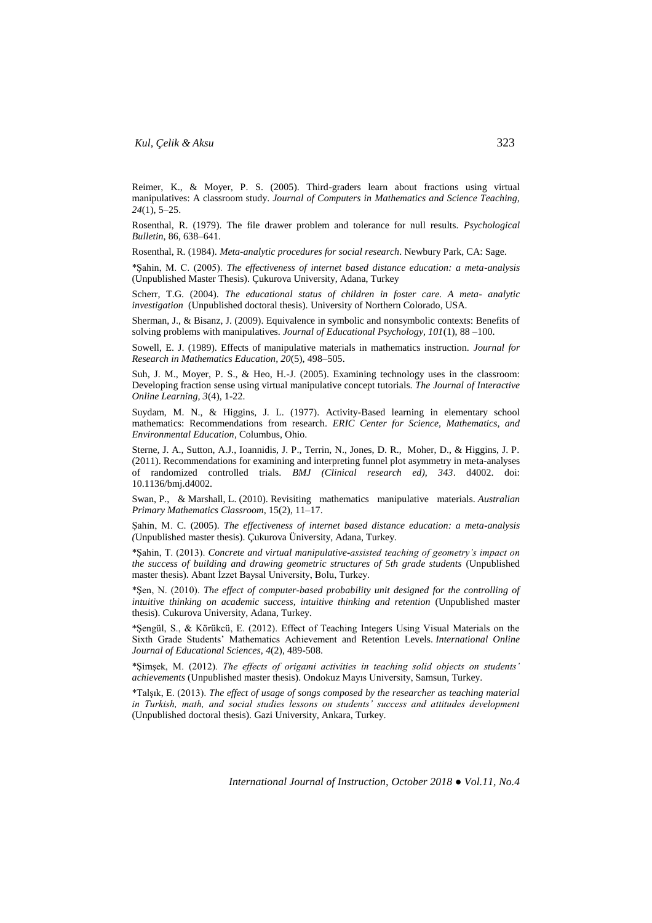Reimer, K., & Moyer, P. S. (2005). Third-graders learn about fractions using virtual manipulatives: A classroom study. *Journal of Computers in Mathematics and Science Teaching, 24*(1), 5–25.

Rosenthal, R. (1979). The file drawer problem and tolerance for null results. *Psychological Bulletin*, 86, 638–641.

Rosenthal, R. (1984). *Meta-analytic procedures for social research*. Newbury Park, CA: Sage.

\*Şahin, M. C. (2005). *The effectiveness of internet based distance education: a meta-analysis* (Unpublished Master Thesis). Çukurova University, Adana, Turkey

Scherr, T.G. (2004). *The educational status of children in foster care. A meta- analytic investigation* (Unpublished doctoral thesis). University of Northern Colorado, USA.

Sherman, J., & Bisanz, J. (2009). Equivalence in symbolic and nonsymbolic contexts: Benefits of solving problems with manipulatives. *Journal of Educational Psychology, 101*(1), 88 –100.

Sowell, E. J. (1989). Effects of manipulative materials in mathematics instruction. *Journal for Research in Mathematics Education, 20*(5), 498–505.

Suh, J. M., Moyer, P. S., & Heo, H.-J. (2005). Examining technology uses in the classroom: Developing fraction sense using virtual manipulative concept tutorials. *The Journal of Interactive Online Learning, 3*(4), 1-22.

Suydam, M. N., & Higgins, J. L. (1977). Activity-Based learning in elementary school mathematics: Recommendations from research. *ERIC Center for Science, Mathematics, and Environmental Education*, Columbus, Ohio.

Sterne, J. A., Sutton, A.J., Ioannidis, J. P., Terrin, N., Jones, D. R., Moher, D., & Higgins, J. P. (2011). Recommendations for examining and interpreting funnel plot asymmetry in meta-analyses of randomized controlled trials. *BMJ (Clinical research ed), 343*. d4002. doi: 10.1136/bmj.d4002.

Swan, P., & Marshall, L. (2010). Revisiting mathematics manipulative materials. *Australian Primary Mathematics Classroom*, 15(2), 11–17.

Şahin, M. C. (2005). *The effectiveness of internet based distance education: a meta-analysis (*Unpublished master thesis). Çukurova Üniversity, Adana, Turkey.

\*Şahin, T. (2013). *Concrete and virtual manipulative-assisted teaching of geometry's impact on the success of building and drawing geometric structures of 5th grade students* (Unpublished master thesis). Abant İzzet Baysal University, Bolu, Turkey.

\*Şen, N. (2010). *The effect of computer-based probability unit designed for the controlling of intuitive thinking on academic success, intuitive thinking and retention* (Unpublished master thesis). Cukurova University, Adana, Turkey.

\*Şengül, S., & Körükcü, E. (2012). Effect of Teaching Integers Using Visual Materials on the Sixth Grade Students' Mathematics Achievement and Retention Levels. *International Online Journal of Educational Sciences*, *4*(2), 489-508.

\*Şimşek, M. (2012). *The effects of origami activities in teaching solid objects on students' achievements* (Unpublished master thesis). Ondokuz Mayıs University, Samsun, Turkey.

\*Talşık, E. (2013). *The effect of usage of songs composed by the researcher as teaching material in Turkish, math, and social studies lessons on students' success and attitudes development* (Unpublished doctoral thesis). Gazi University, Ankara, Turkey.